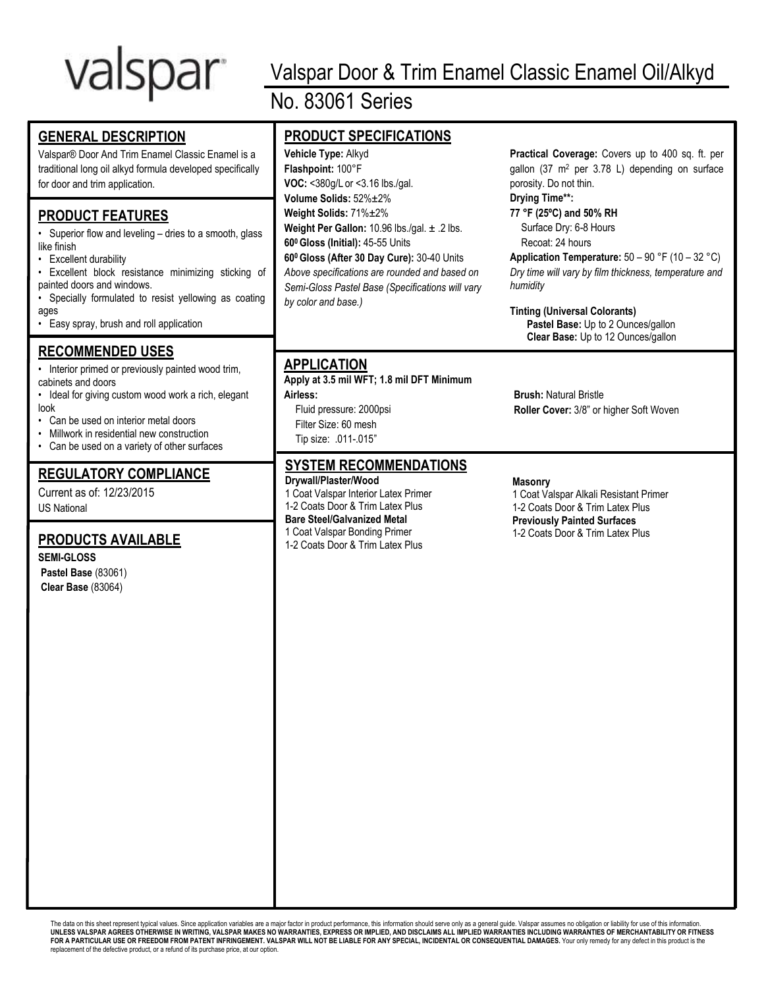# valspar

# **GENERAL DESCRIPTION**

Valspar® Door And Trim Enamel Classic Enamel is a traditional long oil alkyd formula developed specifically for door and trim application.

# **PRODUCT FEATURES**

• Superior flow and leveling – dries to a smooth, glass like finish

- Excellent durability
- Excellent block resistance minimizing sticking of painted doors and windows.
- Specially formulated to resist yellowing as coating ages
- Easy spray, brush and roll application

# **RECOMMENDED USES**

• Interior primed or previously painted wood trim, cabinets and doors

- Ideal for giving custom wood work a rich, elegant look
- Can be used on interior metal doors
- Millwork in residential new construction
- Can be used on a variety of other surfaces

# **REGULATORY COMPLIANCE**

Current as of: 12/23/2015 US National

# **PRODUCTS AVAILABLE**

**SEMI-GLOSS Pastel Base** (83061) **Clear Base** (83064)

# Valspar Door & Trim Enamel Classic Enamel Oil/Alkyd No. 83061 Series

# **PRODUCT SPECIFICATIONS**

**Vehicle Type:** Alkyd **Flashpoint:** 100°F **VOC:** <380g/L or <3.16 lbs./gal. **Volume Solids:** 52%±2% **Weight Solids:** 71%±2% **Weight Per Gallon:** 10.96 lbs./gal. ± .2 lbs. **60<sup>0</sup>Gloss (Initial):** 45-55 Units **60<sup>0</sup>Gloss (After 30 Day Cure):** 30-40 Units *Above specifications are rounded and based on Semi-Gloss Pastel Base (Specifications will vary by color and base.)*

**Practical Coverage:** Covers up to 400 sq. ft. per gallon (37 m<sup>2</sup> per 3.78 L) depending on surface porosity. Do not thin.

# **Drying Time\*\*:**

**77 °F (25ºC) and 50% RH** Surface Dry: 6-8 Hours Recoat: 24 hours

**Application Temperature:** 50 – 90 °F (10 – 32 °C) *Dry time will vary by film thickness, temperature and humidity*

**Tinting (Universal Colorants) Pastel Base:** Up to 2 Ounces/gallon **Clear Base:** Up to 12 Ounces/gallon

# **APPLICATION**

**Apply at 3.5 mil WFT; 1.8 mil DFT Minimum Airless:**

Fluid pressure: 2000psi Filter Size: 60 mesh Tip size: .011-.015"

# **SYSTEM RECOMMENDATIONS**

**Drywall/Plaster/Wood** 1 Coat Valspar Interior Latex Primer 1-2 Coats Door & Trim Latex Plus **Bare Steel/Galvanized Metal** 1 Coat Valspar Bonding Primer 1-2 Coats Door & Trim Latex Plus

**Brush:** Natural Bristle **Roller Cover:** 3/8" or higher Soft Woven

## **Masonry**

1 Coat Valspar Alkali Resistant Primer 1-2 Coats Door & Trim Latex Plus **Previously Painted Surfaces** 1-2 Coats Door & Trim Latex Plus

The data on this sheet represent typical values. Since application variables are a major factor in product performance, this information should serve only as a general quide. Valspar assumes no obligation or liability for **UNLESS VALSPAR AGREES OTHERWISE IN WRITING, VALSPAR MAKES NO WARRANTIES, EXPRESS OR IMPLIED, AND DISCLAIMS ALL IMPLIED WARRANTIES INCLUDING WARRANTIES OF MERCHANTABILITY OR FITNESS**  FOR A PARTICULAR USE OR FREEDOM FROM PATENT INFRINGEMENT. VALSPAR WILL NOT BE LIABLE FOR ANY SPECIAL, INCIDENTAL OR CONSEQUENTIAL DAMAGES. Your only remedy for any defect in this product is the replacement of the defective product, or a refund of its purchase price, at our option.